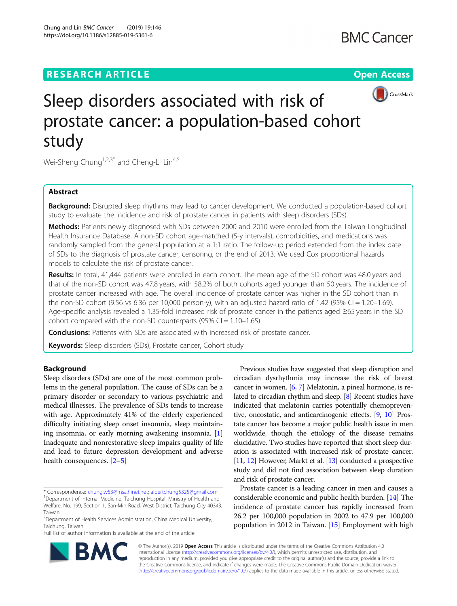# **RESEARCH ARTICLE Example 2014 12:30 The Open Access**



# Sleep disorders associated with risk of prostate cancer: a population-based cohort study

Wei-Sheng Chung<sup>1,2,3\*</sup> and Cheng-Li Lin<sup>4,5</sup>

# Abstract

Background: Disrupted sleep rhythms may lead to cancer development. We conducted a population-based cohort study to evaluate the incidence and risk of prostate cancer in patients with sleep disorders (SDs).

Methods: Patients newly diagnosed with SDs between 2000 and 2010 were enrolled from the Taiwan Longitudinal Health Insurance Database. A non-SD cohort age-matched (5-y intervals), comorbidities, and medications was randomly sampled from the general population at a 1:1 ratio. The follow-up period extended from the index date of SDs to the diagnosis of prostate cancer, censoring, or the end of 2013. We used Cox proportional hazards models to calculate the risk of prostate cancer.

Results: In total, 41,444 patients were enrolled in each cohort. The mean age of the SD cohort was 48.0 years and that of the non-SD cohort was 47.8 years, with 58.2% of both cohorts aged younger than 50 years. The incidence of prostate cancer increased with age. The overall incidence of prostate cancer was higher in the SD cohort than in the non-SD cohort (9.56 vs 6.36 per 10,000 person-y), with an adjusted hazard ratio of 1.42 (95% CI = 1.20–1.69). Age-specific analysis revealed a 1.35-fold increased risk of prostate cancer in the patients aged ≥65 years in the SD cohort compared with the non-SD counterparts (95% CI =  $1.10-1.65$ ).

**Conclusions:** Patients with SDs are associated with increased risk of prostate cancer.

Keywords: Sleep disorders (SDs), Prostate cancer, Cohort study

# Background

Sleep disorders (SDs) are one of the most common problems in the general population. The cause of SDs can be a primary disorder or secondary to various psychiatric and medical illnesses. The prevalence of SDs tends to increase with age. Approximately 41% of the elderly experienced difficulty initiating sleep onset insomnia, sleep maintaining insomnia, or early morning awakening insomnia. [[1](#page-7-0)] Inadequate and nonrestorative sleep impairs quality of life and lead to future depression development and adverse health consequences. [[2](#page-7-0)–[5](#page-7-0)]

Full list of author information is available at the end of the article



Prostate cancer is a leading cancer in men and causes a considerable economic and public health burden. [\[14\]](#page-7-0) The incidence of prostate cancer has rapidly increased from 26.2 per 100,000 population in 2002 to 47.9 per 100,000 population in 2012 in Taiwan. [[15\]](#page-7-0) Employment with high



© The Author(s). 2019 **Open Access** This article is distributed under the terms of the Creative Commons Attribution 4.0 International License [\(http://creativecommons.org/licenses/by/4.0/](http://creativecommons.org/licenses/by/4.0/)), which permits unrestricted use, distribution, and reproduction in any medium, provided you give appropriate credit to the original author(s) and the source, provide a link to the Creative Commons license, and indicate if changes were made. The Creative Commons Public Domain Dedication waiver [\(http://creativecommons.org/publicdomain/zero/1.0/](http://creativecommons.org/publicdomain/zero/1.0/)) applies to the data made available in this article, unless otherwise stated.

<sup>\*</sup> Correspondence: [chung.w53@msa.hinet.net;](mailto:chung.w53@msa.hinet.net) [albertchung5325@gmail.com](mailto:albertchung5325@gmail.com) <sup>1</sup> <sup>1</sup>Department of Internal Medicine, Taichung Hospital, Ministry of Health and Welfare, No. 199, Section 1, San-Min Road, West District, Taichung City 40343, Taiwan

<sup>&</sup>lt;sup>2</sup> Department of Health Services Administration, China Medical University, Taichung, Taiwan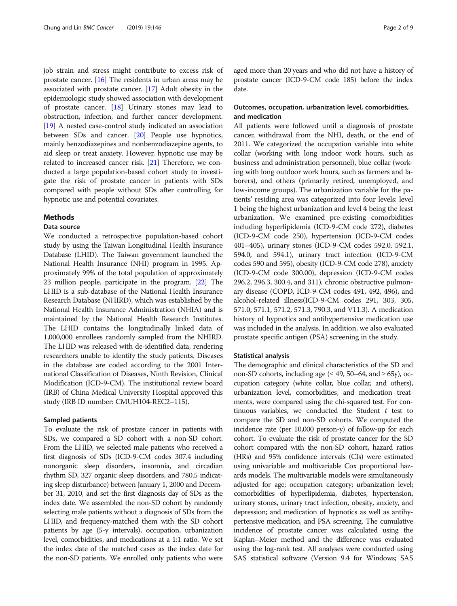job strain and stress might contribute to excess risk of prostate cancer. [[16](#page-7-0)] The residents in urban areas may be associated with prostate cancer. [\[17](#page-7-0)] Adult obesity in the epidemiologic study showed association with development of prostate cancer. [\[18\]](#page-7-0) Urinary stones may lead to obstruction, infection, and further cancer development. [[19](#page-7-0)] A nested case-control study indicated an association between SDs and cancer. [[20](#page-7-0)] People use hypnotics, mainly benzodiazepines and nonbenzodiazepine agents, to aid sleep or treat anxiety. However, hypnotic use may be related to increased cancer risk. [\[21\]](#page-7-0) Therefore, we conducted a large population-based cohort study to investigate the risk of prostate cancer in patients with SDs compared with people without SDs after controlling for hypnotic use and potential covariates.

# Methods

## Data source

We conducted a retrospective population-based cohort study by using the Taiwan Longitudinal Health Insurance Database (LHID). The Taiwan government launched the National Health Insurance (NHI) program in 1995. Approximately 99% of the total population of approximately 23 million people, participate in the program. [\[22\]](#page-7-0) The LHID is a sub-database of the National Health Insurance Research Database (NHIRD), which was established by the National Health Insurance Administration (NHIA) and is maintained by the National Health Research Institutes. The LHID contains the longitudinally linked data of 1,000,000 enrollees randomly sampled from the NHIRD. The LHID was released with de-identified data, rendering researchers unable to identify the study patients. Diseases in the database are coded according to the 2001 International Classification of Diseases, Ninth Revision, Clinical Modification (ICD-9-CM). The institutional review board (IRB) of China Medical University Hospital approved this study (IRB ID number: CMUH104-REC2–115).

### Sampled patients

To evaluate the risk of prostate cancer in patients with SDs, we compared a SD cohort with a non-SD cohort. From the LHID, we selected male patients who received a first diagnosis of SDs (ICD-9-CM codes 307.4 including nonorganic sleep disorders, insomnia, and circadian rhythm SD, 327 organic sleep disorders, and 780.5 indicating sleep disturbance) between January 1, 2000 and December 31, 2010, and set the first diagnosis day of SDs as the index date. We assembled the non-SD cohort by randomly selecting male patients without a diagnosis of SDs from the LHID, and frequency-matched them with the SD cohort patients by age (5-y intervals), occupation, urbanization level, comorbidities, and medications at a 1:1 ratio. We set the index date of the matched cases as the index date for the non-SD patients. We enrolled only patients who were

aged more than 20 years and who did not have a history of prostate cancer (ICD-9-CM code 185) before the index date.

# Outcomes, occupation, urbanization level, comorbidities, and medication

All patients were followed until a diagnosis of prostate cancer, withdrawal from the NHI, death, or the end of 2011. We categorized the occupation variable into white collar (working with long indoor work hours, such as business and administration personnel), blue collar (working with long outdoor work hours, such as farmers and laborers), and others (primarily retired, unemployed, and low-income groups). The urbanization variable for the patients' residing area was categorized into four levels: level 1 being the highest urbanization and level 4 being the least urbanization. We examined pre-existing comorbidities including hyperlipidemia (ICD-9-CM code 272), diabetes (ICD-9-CM code 250), hypertension (ICD-9-CM codes 401–405), urinary stones (ICD-9-CM codes 592.0. 592.1, 594.0, and 594.1), urinary tract infection (ICD-9-CM codes 590 and 595), obesity (ICD-9-CM code 278), anxiety (ICD-9-CM code 300.00), depression (ICD-9-CM codes 296.2, 296.3, 300.4, and 311), chronic obstructive pulmonary disease (COPD, ICD-9-CM codes 491, 492, 496), and alcohol-related illness(ICD-9-CM codes 291, 303, 305, 571.0, 571.1, 571.2, 571.3, 790.3, and V11.3). A medication history of hypnotics and antihypertensive medication use was included in the analysis. In addition, we also evaluated prostate specific antigen (PSA) screening in the study.

#### Statistical analysis

The demographic and clinical characteristics of the SD and non-SD cohorts, including age ( $\leq$  49, 50–64, and  $\geq$  65y), occupation category (white collar, blue collar, and others), urbanization level, comorbidities, and medication treatments, were compared using the chi-squared test. For continuous variables, we conducted the Student  $t$  test to compare the SD and non-SD cohorts. We computed the incidence rate (per 10,000 person-y) of follow-up for each cohort. To evaluate the risk of prostate cancer for the SD cohort compared with the non-SD cohort, hazard ratios (HRs) and 95% confidence intervals (CIs) were estimated using univariable and multivariable Cox proportional hazards models. The multivariable models were simultaneously adjusted for age; occupation category; urbanization level; comorbidities of hyperlipidemia, diabetes, hypertension, urinary stones, urinary tract infection, obesity, anxiety, and depression; and medication of hypnotics as well as antihypertensive medication, and PSA screening. The cumulative incidence of prostate cancer was calculated using the Kaplan–Meier method and the difference was evaluated using the log-rank test. All analyses were conducted using SAS statistical software (Version 9.4 for Windows; SAS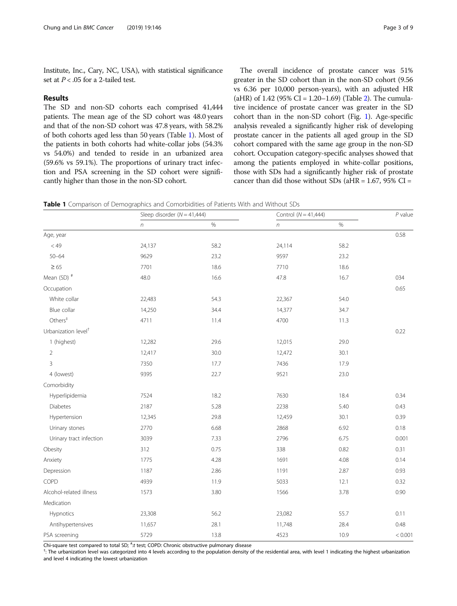Institute, Inc., Cary, NC, USA), with statistical significance set at  $P < .05$  for a 2-tailed test.

# Results

The SD and non-SD cohorts each comprised 41,444 patients. The mean age of the SD cohort was 48.0 years and that of the non-SD cohort was 47.8 years, with 58.2% of both cohorts aged less than 50 years (Table 1). Most of the patients in both cohorts had white-collar jobs (54.3% vs 54.0%) and tended to reside in an urbanized area (59.6% vs 59.1%). The proportions of urinary tract infection and PSA screening in the SD cohort were significantly higher than those in the non-SD cohort.

The overall incidence of prostate cancer was 51% greater in the SD cohort than in the non-SD cohort (9.56 vs 6.36 per 10,000 person-years), with an adjusted HR (aHR) of 1.42 (95% CI = 1.20–1.69) (Table [2\)](#page-3-0). The cumulative incidence of prostate cancer was greater in the SD cohort than in the non-SD cohort (Fig. [1](#page-5-0)). Age-specific analysis revealed a significantly higher risk of developing prostate cancer in the patients all aged group in the SD cohort compared with the same age group in the non-SD cohort. Occupation category-specific analyses showed that among the patients employed in white-collar positions, those with SDs had a significantly higher risk of prostate cancer than did those without SDs (aHR =  $1.67$ ,  $95\%$  CI =

Table 1 Comparison of Demographics and Comorbidities of Patients With and Without SDs

|                                 | Sleep disorder $(N = 41,444)$ |      | Control ( $N = 41,444$ ) | $P$ value |         |  |
|---------------------------------|-------------------------------|------|--------------------------|-----------|---------|--|
|                                 | $\boldsymbol{n}$              | $\%$ | $\boldsymbol{n}$         | $\%$      |         |  |
| Age, year                       |                               |      |                          |           | 0.58    |  |
| < 49                            | 24,137                        | 58.2 | 24,114                   | 58.2      |         |  |
| $50 - 64$                       | 9629                          | 23.2 | 9597                     | 23.2      |         |  |
| $\geq 65$                       | 7701                          | 18.6 | 7710                     | 18.6      |         |  |
| Mean (SD) #                     | 48.0                          | 16.6 | 47.8                     | 16.7      | 034     |  |
| Occupation                      |                               |      |                          |           | 0.65    |  |
| White collar                    | 22,483                        | 54.3 | 22,367                   | 54.0      |         |  |
| Blue collar                     | 14,250                        | 34.4 | 14,377                   | 34.7      |         |  |
| Others <sup>‡</sup>             | 4711                          | 11.4 | 4700                     | 11.3      |         |  |
| Urbanization level <sup>+</sup> |                               |      |                          |           | 0.22    |  |
| 1 (highest)                     | 12,282                        | 29.6 | 12,015                   | 29.0      |         |  |
| $\overline{2}$                  | 12,417                        | 30.0 | 12,472                   | 30.1      |         |  |
| 3                               | 7350                          | 17.7 | 7436                     | 17.9      |         |  |
| 4 (lowest)                      | 9395                          | 22.7 | 9521                     | 23.0      |         |  |
| Comorbidity                     |                               |      |                          |           |         |  |
| Hyperlipidemia                  | 7524                          | 18.2 | 7630                     | 18.4      | 0.34    |  |
| <b>Diabetes</b>                 | 2187                          | 5.28 | 2238                     | 5.40      | 0.43    |  |
| Hypertension                    | 12,345                        | 29.8 | 12,459                   | 30.1      | 0.39    |  |
| Urinary stones                  | 2770                          | 6.68 | 2868                     | 6.92      | 0.18    |  |
| Urinary tract infection         | 3039                          | 7.33 | 2796                     | 6.75      | 0.001   |  |
| Obesity                         | 312                           | 0.75 | 338                      | 0.82      | 0.31    |  |
| Anxiety                         | 1775                          | 4.28 | 1691                     | 4.08      | 0.14    |  |
| Depression                      | 1187                          | 2.86 | 1191                     | 2.87      | 0.93    |  |
| COPD                            | 4939                          | 11.9 | 5033                     | 12.1      | 0.32    |  |
| Alcohol-related illness         | 1573                          | 3.80 | 1566                     | 3.78      | 0.90    |  |
| Medication                      |                               |      |                          |           |         |  |
| Hypnotics                       | 23,308                        | 56.2 | 23,082                   | 55.7      | 0.11    |  |
| Antihypertensives               | 11,657                        | 28.1 | 11,748                   | 28.4      | 0.48    |  |
| PSA screening                   | 5729                          | 13.8 | 4523                     | 10.9      | < 0.001 |  |

Chi-square test compared to total SD;  $*$ :t test; COPD: Chronic obstructive pulmonary disease

<sup>t</sup>: The urbanization level was categorized into 4 levels according to the population density of the residential area, with level 1 indicating the highest urbanization and level 4 indicating the lowest urbanization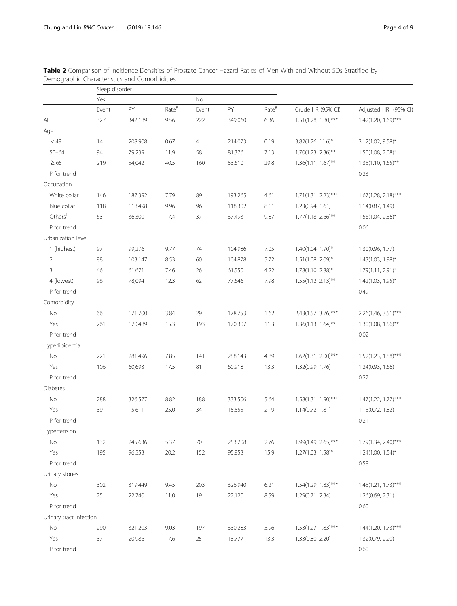|                          | Sleep disorder |         |                   |           |         |                   |                        |                                   |
|--------------------------|----------------|---------|-------------------|-----------|---------|-------------------|------------------------|-----------------------------------|
|                          | Yes            |         |                   | <b>No</b> |         |                   |                        |                                   |
|                          | Event          | PY      | Rate <sup>#</sup> | Event     | PY      | Rate <sup>#</sup> | Crude HR (95% CI)      | Adjusted HR <sup>+</sup> (95% CI) |
| All                      | 327            | 342,189 | 9.56              | 222       | 349,060 | 6.36              | $1.51(1.28, 1.80)$ *** | $1.42(1.20, 1.69)$ ***            |
| Age                      |                |         |                   |           |         |                   |                        |                                   |
| < 49                     | 14             | 208,908 | 0.67              | 4         | 214,073 | 0.19              | $3.82(1.26, 11.6)^*$   | $3.12(1.02, 9.58)^*$              |
| $50 - 64$                | 94             | 79,239  | 11.9              | 58        | 81,376  | 7.13              | $1.70(1.23, 2.36)$ **  | $1.50(1.08, 2.08)^*$              |
| $\geq 65$                | 219            | 54,042  | 40.5              | 160       | 53,610  | 29.8              | $1.36(1.11, 1.67)$ **  | $1.35(1.10, 1.65)$ **             |
| P for trend              |                |         |                   |           |         |                   |                        | 0.23                              |
| Occupation               |                |         |                   |           |         |                   |                        |                                   |
| White collar             | 146            | 187,392 | 7.79              | 89        | 193,265 | 4.61              | $1.71(1.31, 2.23)$ *** | $1.67(1.28, 2.18)$ ***            |
| Blue collar              | 118            | 118,498 | 9.96              | 96        | 118,302 | 8.11              | 1.23(0.94, 1.61)       | 1.14(0.87, 1.49)                  |
| Others <sup>‡</sup>      | 63             | 36,300  | 17.4              | 37        | 37,493  | 9.87              | $1.77(1.18, 2.66)$ **  | $1.56(1.04, 2.36)^*$              |
| P for trend              |                |         |                   |           |         |                   |                        | 0.06                              |
| Urbanization level       |                |         |                   |           |         |                   |                        |                                   |
| 1 (highest)              | 97             | 99,276  | 9.77              | 74        | 104,986 | 7.05              | $1.40(1.04, 1.90)^{*}$ | 1.30(0.96, 1.77)                  |
| 2                        | 88             | 103,147 | 8.53              | 60        | 104,878 | 5.72              | $1.51(1.08, 2.09)^{*}$ | $1.43(1.03, 1.98)$ *              |
| 3                        | 46             | 61,671  | 7.46              | 26        | 61,550  | 4.22              | $1.78(1.10, 2.88)$ *   | $1.79(1.11, 2.91)^*$              |
| 4 (lowest)               | 96             | 78,094  | 12.3              | 62        | 77,646  | 7.98              | $1.55(1.12, 2.13)$ **  | $1.42(1.03, 1.95)^{*}$            |
| P for trend              |                |         |                   |           |         |                   |                        | 0.49                              |
| Comorbidity <sup>#</sup> |                |         |                   |           |         |                   |                        |                                   |
| No                       | 66             | 171,700 | 3.84              | 29        | 178,753 | 1.62              | 2.43(1.57, 3.76)***    | $2.26(1.46, 3.51)$ ***            |
| Yes                      | 261            | 170,489 | 15.3              | 193       | 170,307 | 11.3              | $1.36(1.13, 1.64)$ **  | $1.30(1.08, 1.56)$ **             |
| P for trend              |                |         |                   |           |         |                   |                        | 0.02                              |
| Hyperlipidemia           |                |         |                   |           |         |                   |                        |                                   |
| No                       | 221            | 281,496 | 7.85              | 141       | 288,143 | 4.89              | $1.62(1.31, 2.00)$ *** | $1.52(1.23, 1.88)$ ***            |
| Yes                      | 106            | 60,693  | 17.5              | 81        | 60,918  | 13.3              | 1.32(0.99, 1.76)       | 1.24(0.93, 1.66)                  |
| P for trend              |                |         |                   |           |         |                   |                        | 0.27                              |
| Diabetes                 |                |         |                   |           |         |                   |                        |                                   |
| No                       | 288            | 326,577 | 8.82              | 188       | 333,506 | 5.64              | $1.58(1.31, 1.90)$ *** | $1.47(1.22, 1.77)$ ***            |
| Yes                      | 39             | 15,611  | 25.0              | 34        | 15,555  | 21.9              | 1.14(0.72, 1.81)       | 1.15(0.72, 1.82)                  |
| P for trend              |                |         |                   |           |         |                   |                        | 0.21                              |
| Hypertension             |                |         |                   |           |         |                   |                        |                                   |
| No                       | 132            | 245,636 | 5.37              | 70        | 253,208 | 2.76              | 1.99(1.49, 2.65)***    | 1.79(1.34, 2.40)***               |
| Yes                      | 195            | 96,553  | 20.2              | 152       | 95,853  | 15.9              | $1.27(1.03, 1.58)^{*}$ | $1.24(1.00, 1.54)^{*}$            |
| P for trend              |                |         |                   |           |         |                   |                        | 0.58                              |
| Urinary stones           |                |         |                   |           |         |                   |                        |                                   |
| No                       | 302            | 319,449 | 9.45              | 203       | 326,940 | 6.21              | $1.54(1.29, 1.83)$ *** | $1.45(1.21, 1.73)$ ***            |
| Yes                      | 25             | 22,740  | 11.0              | 19        | 22,120  | 8.59              | 1.29(0.71, 2.34)       | 1.26(0.69, 2.31)                  |
| P for trend              |                |         |                   |           |         |                   |                        | 0.60                              |
| Urinary tract infection  |                |         |                   |           |         |                   |                        |                                   |
| No                       | 290            | 321,203 | 9.03              | 197       | 330,283 | 5.96              | 1.53(1.27, 1.83)***    | $1.44(1.20, 1.73)$ ***            |
| Yes                      | 37             | 20,986  | 17.6              | 25        | 18,777  | 13.3              | 1.33(0.80, 2.20)       | 1.32(0.79, 2.20)                  |

<span id="page-3-0"></span>Table 2 Comparison of Incidence Densities of Prostate Cancer Hazard Ratios of Men With and Without SDs Stratified by Demographic Characteristics and Comorbidities

P for trend 0.60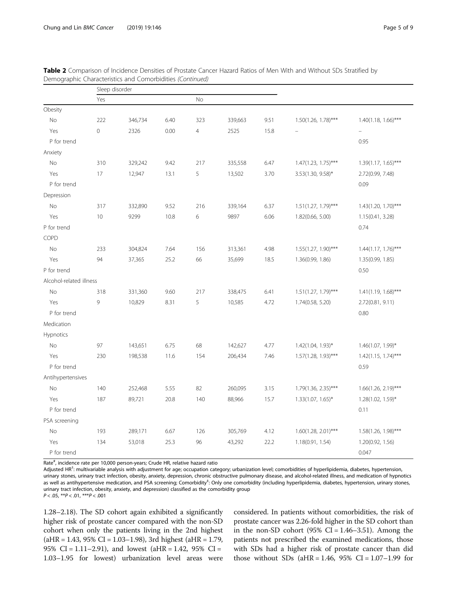Antihypertensives

PSA screening

| Demographic Characteristics and Comorbidities (Continued) |                 |         |      |          |         |      |                        |                        |
|-----------------------------------------------------------|-----------------|---------|------|----------|---------|------|------------------------|------------------------|
|                                                           | Sleep disorder  |         |      |          |         |      |                        |                        |
|                                                           | Yes             |         |      | $\rm No$ |         |      |                        |                        |
| Obesity                                                   |                 |         |      |          |         |      |                        |                        |
| No                                                        | 222             | 346,734 | 6.40 | 323      | 339,663 | 9.51 | $1.50(1.26, 1.78)$ *** | $1.40(1.18, 1.66)$ *** |
| Yes                                                       | $\mathbb O$     | 2326    | 0.00 | 4        | 2525    | 15.8 |                        | $\qquad \qquad -$      |
| P for trend                                               |                 |         |      |          |         |      |                        | 0.95                   |
| Anxiety                                                   |                 |         |      |          |         |      |                        |                        |
| No                                                        | 310             | 329,242 | 9.42 | 217      | 335,558 | 6.47 | $1.47(1.23, 1.75)$ *** | $1.39(1.17, 1.65)$ *** |
| Yes                                                       | 17              | 12,947  | 13.1 | 5        | 13,502  | 3.70 | 3.53(1.30, 9.58)*      | 2.72(0.99, 7.48)       |
| P for trend                                               |                 |         |      |          |         |      |                        | 0.09                   |
| Depression                                                |                 |         |      |          |         |      |                        |                        |
| No                                                        | 317             | 332,890 | 9.52 | 216      | 339,164 | 6.37 | $1.51(1.27, 1.79)$ *** | $1.43(1.20, 1.70)$ *** |
| Yes                                                       | 10 <sup>°</sup> | 9299    | 10.8 | 6        | 9897    | 6.06 | 1.82(0.66, 5.00)       | 1.15(0.41, 3.28)       |
| P for trend                                               |                 |         |      |          |         |      |                        | 0.74                   |
| COPD                                                      |                 |         |      |          |         |      |                        |                        |
| No                                                        | 233             | 304,824 | 7.64 | 156      | 313,361 | 4.98 | $1.55(1.27, 1.90)$ *** | $1.44(1.17, 1.76)$ *** |
| Yes                                                       | 94              | 37,365  | 25.2 | 66       | 35,699  | 18.5 | 1.36(0.99, 1.86)       | 1.35(0.99, 1.85)       |
| P for trend                                               |                 |         |      |          |         |      |                        | 0.50                   |
| Alcohol-related illness                                   |                 |         |      |          |         |      |                        |                        |
| No                                                        | 318             | 331,360 | 9.60 | 217      | 338,475 | 6.41 | 1.51(1.27, 1.79)***    | $1.41(1.19, 1.68)$ *** |
| Yes                                                       | 9               | 10,829  | 8.31 | 5        | 10,585  | 4.72 | 1.74(0.58, 5.20)       | 2.72(0.81, 9.11)       |
| P for trend                                               |                 |         |      |          |         |      |                        | 0.80                   |
| Medication                                                |                 |         |      |          |         |      |                        |                        |
| Hypnotics                                                 |                 |         |      |          |         |      |                        |                        |
| No                                                        | 97              | 143,651 | 6.75 | 68       | 142,627 | 4.77 | $1.42(1.04, 1.93)^{*}$ | $1.46(1.07, 1.99)$ *   |
| Yes                                                       | 230             | 198,538 | 11.6 | 154      | 206,434 | 7.46 | $1.57(1.28, 1.93)$ *** | $1.42(1.15, 1.74)$ *** |
| P for trend                                               |                 |         |      |          |         |      |                        | 0.59                   |

| Table 2 Comparison of Incidence Densities of Prostate Cancer Hazard Ratios of Men With and Without SDs Stratified by |  |  |
|----------------------------------------------------------------------------------------------------------------------|--|--|
| Demographic Characteristics and Comorbidities (Continued)                                                            |  |  |

Rate<sup>#</sup>, incidence rate per 10,000 person-years; Crude HR, relative hazard ratio

Adjusted HR<sup>†</sup>: multivariable analysis with adjustment for age; occupation category; urbanization level; comorbidities of hyperlipidemia, diabetes, hypertension, urinary stones, urinary tract infection, obesity, anxiety, depression, chronic obstructive pulmonary disease, and alcohol-related illness, and medication of hypnotics as well as antihypertensive medication, and PSA screening; Comorbidity<sup>‡</sup>: Only one comorbidity (including hyperlipidemia, diabetes, hypertension, urinary stones, urinary tract infection, obesity, anxiety, and depression) classified as the comorbidity group  $P < .05,$  \*\* $P < .01,$  \*\*\* $P < .001$ 

No 140 252,468 5.55 82 260,095 3.15 1.79(1.36, 2.35)\*\*\* 1.66(1.26, 2.19)\*\*\* Yes 187 89,721 20.8 140 88,966 15.7 1.33(1.07, 1.65)\* 1.28(1.02, 1.59)\*

No 193 289,171 6.67 126 305,769 4.12 1.60(1.28, 2.01)\*\*\* 1.58(1.26, 1.98)\*\*\* Yes 134 53,018 25.3 96 43,292 22.2 1.18(0.91, 1.54) 1.20(0.92, 1.56)

P for trend 0.11

P for trend 0.047

1.28–2.18). The SD cohort again exhibited a significantly higher risk of prostate cancer compared with the non-SD cohort when only the patients living in the 2nd highest (aHR = 1.43, 95% CI = 1.03–1.98), 3rd highest (aHR = 1.79, 95% CI = 1.11–2.91), and lowest (aHR = 1.42, 95% CI = 1.03–1.95 for lowest) urbanization level areas were considered. In patients without comorbidities, the risk of prostate cancer was 2.26-fold higher in the SD cohort than in the non-SD cohort  $(95\% \text{ CI} = 1.46-3.51)$ . Among the patients not prescribed the examined medications, those with SDs had a higher risk of prostate cancer than did those without SDs (aHR = 1.46,  $95\%$  CI = 1.07–1.99 for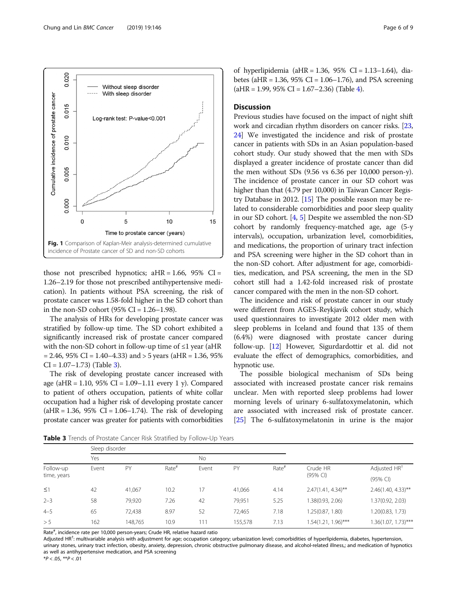<span id="page-5-0"></span>

those not prescribed hypnotics;  $aHR = 1.66$ , 95% CI = 1.26–2.19 for those not prescribed antihypertensive medication). In patients without PSA screening, the risk of prostate cancer was 1.58-fold higher in the SD cohort than in the non-SD cohort  $(95\% \text{ CI} = 1.26 - 1.98)$ .

The analysis of HRs for developing prostate cancer was stratified by follow-up time. The SD cohort exhibited a significantly increased risk of prostate cancer compared with the non-SD cohort in follow-up time of ≤1 year (aHR  $= 2.46$ , 95% CI = 1.40–4.33) and > 5 years (aHR = 1.36, 95%)  $CI = 1.07 - 1.73$  (Table 3).

The risk of developing prostate cancer increased with age (aHR = 1.10,  $95\%$  CI = 1.09–1.11 every 1 y). Compared to patient of others occupation, patients of white collar occupation had a higher risk of developing prostate cancer  $(aHR = 1.36, 95\% \text{ CI} = 1.06 - 1.74)$ . The risk of developing prostate cancer was greater for patients with comorbidities

of hyperlipidemia (aHR = 1.36, 95% CI = 1.13–1.64), diabetes (aHR =  $1.36$ ,  $95\%$  CI =  $1.06-1.76$ ), and PSA screening  $(aHR = 1.99, 95\% CI = 1.67 - 2.36)$  (Table [4](#page-6-0)).

# **Discussion**

Previous studies have focused on the impact of night shift work and circadian rhythm disorders on cancer risks. [[23](#page-7-0), [24](#page-7-0)] We investigated the incidence and risk of prostate cancer in patients with SDs in an Asian population-based cohort study. Our study showed that the men with SDs displayed a greater incidence of prostate cancer than did the men without SDs (9.56 vs 6.36 per 10,000 person-y). The incidence of prostate cancer in our SD cohort was higher than that (4.79 per 10,000) in Taiwan Cancer Registry Database in 2012. [\[15\]](#page-7-0) The possible reason may be related to considerable comorbidities and poor sleep quality in our SD cohort. [\[4,](#page-7-0) [5\]](#page-7-0) Despite we assembled the non-SD cohort by randomly frequency-matched age, age (5-y intervals), occupation, urbanization level, comorbidities, and medications, the proportion of urinary tract infection and PSA screening were higher in the SD cohort than in the non-SD cohort. After adjustment for age, comorbidities, medication, and PSA screening, the men in the SD cohort still had a 1.42-fold increased risk of prostate cancer compared with the men in the non-SD cohort.

The incidence and risk of prostate cancer in our study were different from AGES-Reykjavik cohort study, which used questionnaires to investigate 2012 older men with sleep problems in Iceland and found that 135 of them (6.4%) were diagnosed with prostate cancer during follow-up. [\[12\]](#page-7-0) However, Sigurdardottir et al. did not evaluate the effect of demographics, comorbidities, and hypnotic use.

The possible biological mechanism of SDs being associated with increased prostate cancer risk remains unclear. Men with reported sleep problems had lower morning levels of urinary 6-sulfatoxymelatonin, which are associated with increased risk of prostate cancer. [[25\]](#page-7-0) The 6-sulfatoxymelatonin in urine is the major

Table 3 Trends of Prostate Cancer Risk Stratified by Follow-Up Years

|                          | Sleep disorder |         |                   |       |         |                     |                        |                          |
|--------------------------|----------------|---------|-------------------|-------|---------|---------------------|------------------------|--------------------------|
|                          | Yes            |         |                   | No.   |         |                     |                        |                          |
| Follow-up<br>time, years | Event          | PY      | Rate <sup>#</sup> | Event | PY      | $Rate$ <sup>#</sup> | Crude HR<br>$(95%$ CI) | Adjusted HR <sup>T</sup> |
|                          |                |         |                   |       |         |                     |                        | (95% CI)                 |
| $\leq$ 1                 | 42             | 41,067  | 10.2              | 17    | 41,066  | 4.14                | $2.47(1.41, 4.34)$ **  | $2.46(1.40, 4.33)$ **    |
| $2 - 3$                  | 58             | 79,920  | 7.26              | 42    | 79,951  | 5.25                | 1.38(0.93, 2.06)       | 1.37(0.92, 2.03)         |
| $4 - 5$                  | 65             | 72,438  | 8.97              | 52    | 72,465  | 7.18                | 1.25(0.87, 1.80)       | 1.20(0.83, 1.73)         |
| > 5                      | 162            | 148,765 | 10.9              | l 11  | 155,578 | 7.13                | 1.54(1.21, 1.96)***    | 1.36(1.07, 1.73)***      |

Rate<sup>#</sup>, incidence rate per 10,000 person-years; Crude HR, relative hazard ratio

Adjusted HR<sup>†</sup>: multivariable analysis with adjustment for age; occupation category; urbanization level; comorbidities of hyperlipidemia, diabetes, hypertension, urinary stones, urinary tract infection, obesity, anxiety, depression, chronic obstructive pulmonary disease, and alcohol-related illness,; and medication of hypnotics as well as antihypertensive medication, and PSA screening

 $*P < .05, **P < .01$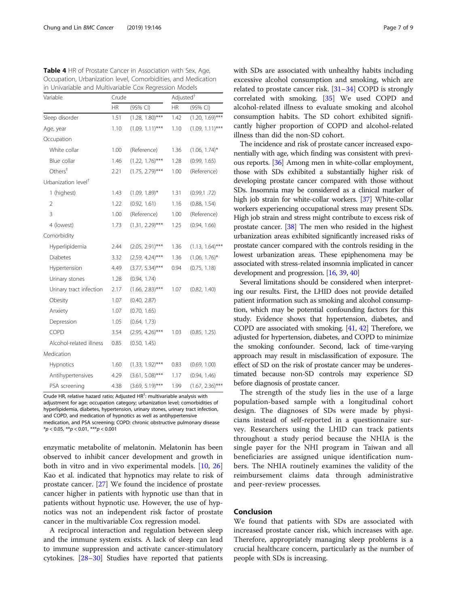| Variable                        | Crude     |                    | Adjusted <sup>†</sup> |                    |  |
|---------------------------------|-----------|--------------------|-----------------------|--------------------|--|
|                                 | <b>HR</b> | (95% CI)           | <b>HR</b>             | (95% CI)           |  |
| Sleep disorder                  | 1.51      | $(1.28, 1.80)$ *** | 1.42                  | $(1.20, 1.69)$ *** |  |
| Age, year                       | 1.10      | $(1.09, 1.11)$ *** | 1.10                  | $(1.09, 1.11)$ *** |  |
| Occupation                      |           |                    |                       |                    |  |
| White collar                    | 1.00      | (Reference)        | 1.36                  | $(1.06, 1.74)^{*}$ |  |
| Blue collar                     | 1.46      | $(1.22, 1.76)$ *** | 1.28                  | (0.99, 1.65)       |  |
| Others $‡$                      | 2.21      | $(1.75, 2.79)$ *** | 1.00                  | (Reference)        |  |
| Urbanization level <sup>†</sup> |           |                    |                       |                    |  |
| 1 (highest)                     | 1.43      | $(1.09, 1.89)^*$   | 1.31                  | (0.99, 1.72)       |  |
| $\overline{2}$                  | 1.22      | (0.92, 1.61)       | 1.16                  | (0.88, 1.54)       |  |
| 3                               | 1.00      | (Reference)        | 1.00                  | (Reference)        |  |
| 4 (lowest)                      | 1.73      | $(1.31, 2.29)$ *** | 1.25                  | (0.94, 1.66)       |  |
| Comorbidity                     |           |                    |                       |                    |  |
| Hyperlipidemia                  | 2.44      | $(2.05, 2.91)$ *** | 1.36                  | $(1.13, 1.64)$ *** |  |
| <b>Diabetes</b>                 | 3.32      | $(2.59, 4.24)$ *** | 1.36                  | $(1.06, 1.76)^*$   |  |
| Hypertension                    | 4.49      | $(3.77, 5.34)$ *** | 0.94                  | (0.75, 1.18)       |  |
| Urinary stones                  | 1.28      | (0.94, 1.74)       |                       |                    |  |
| Urinary tract infection         | 2.17      | $(1.66, 2.83)$ *** | 1.07                  | (0.82, 1.40)       |  |
| Obesity                         | 1.07      | (0.40, 2.87)       |                       |                    |  |
| Anxiety                         | 1.07      | (0.70, 1.65)       |                       |                    |  |
| Depression                      | 1.05      | (0.64, 1.73)       |                       |                    |  |
| COPD                            | 3.54      | $(2.95, 4.26)$ *** | 1.03                  | (0.85, 1.25)       |  |
| Alcohol-related illness         | 0.85      | (0.50, 1.45)       |                       |                    |  |
| Medication                      |           |                    |                       |                    |  |
| Hypnotics                       | 1.60      | $(1.33, 1.92)$ *** | 0.83                  | (0.69, 1.00)       |  |
| Antihypertensives               | 4.29      | $(3.61, 5.08)$ *** | 1.17                  | (0.94, 1.46)       |  |
| PSA screening                   | 4.38      | $(3.69, 5.19)$ *** | 1.99                  | $(1.67, 2.36)$ *** |  |

<span id="page-6-0"></span>Table 4 HR of Prostate Cancer in Association with Sex, Age, Occupation, Urbanization level, Comorbidities, and Medication in Univariable and Multivariable Cox Regression Models

Crude HR, relative hazard ratio; Adjusted HR<sup>†</sup>: multivariable analysis with adjustment for age; occupation category; urbanization level; comorbidities of hyperlipidemia, diabetes, hypertension, urinary stones, urinary tract infection, and COPD, and medication of hypnotics as well as antihypertensive

medication, and PSA screening; COPD: chronic obstructive pulmonary disease  $*p$  < 0.05,  $*p$  < 0.01,  $**p$  < 0.001

enzymatic metabolite of melatonin. Melatonin has been observed to inhibit cancer development and growth in both in vitro and in vivo experimental models. [[10](#page-7-0), [26](#page-7-0)] Kao et al. indicated that hypnotics may relate to risk of prostate cancer. [[27\]](#page-7-0) We found the incidence of prostate cancer higher in patients with hypnotic use than that in patients without hypnotic use. However, the use of hypnotics was not an independent risk factor of prostate cancer in the multivariable Cox regression model.

A reciprocal interaction and regulation between sleep and the immune system exists. A lack of sleep can lead to immune suppression and activate cancer-stimulatory cytokines. [\[28](#page-8-0)–[30\]](#page-8-0) Studies have reported that patients with SDs are associated with unhealthy habits including excessive alcohol consumption and smoking, which are related to prostate cancer risk. [\[31](#page-8-0)–[34\]](#page-8-0) COPD is strongly correlated with smoking. [[35\]](#page-8-0) We used COPD and alcohol-related illness to evaluate smoking and alcohol consumption habits. The SD cohort exhibited significantly higher proportion of COPD and alcohol-related illness than did the non-SD cohort.

The incidence and risk of prostate cancer increased exponentially with age, which finding was consistent with previous reports. [[36](#page-8-0)] Among men in white-collar employment, those with SDs exhibited a substantially higher risk of developing prostate cancer compared with those without SDs. Insomnia may be considered as a clinical marker of high job strain for white-collar workers. [[37](#page-8-0)] White-collar workers experiencing occupational stress may present SDs. High job strain and stress might contribute to excess risk of prostate cancer. [\[38\]](#page-8-0) The men who resided in the highest urbanization areas exhibited significantly increased risks of prostate cancer compared with the controls residing in the lowest urbanization areas. These epiphenomena may be associated with stress-related insomnia implicated in cancer development and progression. [\[16,](#page-7-0) [39,](#page-8-0) [40\]](#page-8-0)

Several limitations should be considered when interpreting our results. First, the LHID does not provide detailed patient information such as smoking and alcohol consumption, which may be potential confounding factors for this study. Evidence shows that hypertension, diabetes, and COPD are associated with smoking. [[41](#page-8-0), [42\]](#page-8-0) Therefore, we adjusted for hypertension, diabetes, and COPD to minimize the smoking confounder. Second, lack of time-varying approach may result in misclassification of exposure. The effect of SD on the risk of prostate cancer may be underestimated because non-SD controls may experience SD before diagnosis of prostate cancer.

The strength of the study lies in the use of a large population-based sample with a longitudinal cohort design. The diagnoses of SDs were made by physicians instead of self-reported in a questionnaire survey. Researchers using the LHID can track patients throughout a study period because the NHIA is the single payer for the NHI program in Taiwan and all beneficiaries are assigned unique identification numbers. The NHIA routinely examines the validity of the reimbursement claims data through administrative and peer-review processes.

# Conclusion

We found that patients with SDs are associated with increased prostate cancer risk, which increases with age. Therefore, appropriately managing sleep problems is a crucial healthcare concern, particularly as the number of people with SDs is increasing.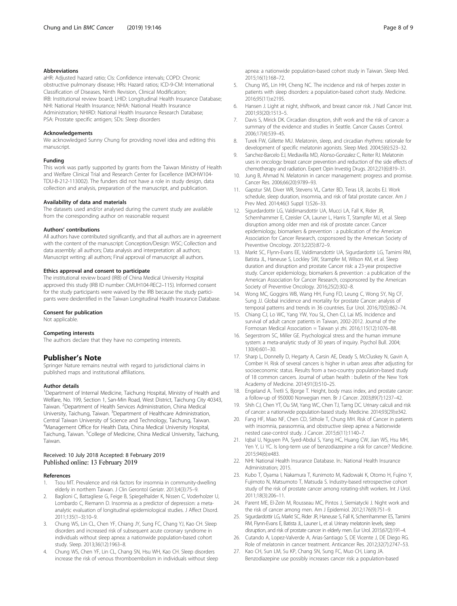#### <span id="page-7-0"></span>Abbreviations

aHR: Adjusted hazard ratio; CIs: Confidence intervals; COPD: Chronic obstructive pulmonary disease; HRs: Hazard ratios; ICD-9-CM: International Classification of Diseases, Ninth Revision, Clinical Modification; IRB: Institutional review board; LHID: Longitudinal Health Insurance Database; NHI: National Health Insurance; NHIA: National Health Insurance Administration; NHIRD: National Health Insurance Research Database; PSA: Prostate specific antigen; SDs: Sleep disorders

#### Acknowledgements

We acknowledged Sunny Chung for providing novel idea and editing this manuscript.

#### Funding

This work was partly supported by grants from the Taiwan Ministry of Health and Welfare Clinical Trial and Research Center for Excellence (MOHW104- TDU-B-212-113002). The funders did not have a role in study design, data collection and analysis, preparation of the manuscript, and publication.

#### Availability of data and materials

The datasets used and/or analysed during the current study are available from the corresponding author on reasonable request

#### Authors' contributions

All authors have contributed significantly, and that all authors are in agreement with the content of the manuscript: Conception/Design: WSC; Collection and data assembly: all authors; Data analysis and interpretation: all authors; Manuscript writing: all authors; Final approval of manuscript: all authors.

#### Ethics approval and consent to participate

The institutional review board (IRB) of China Medical University Hospital approved this study (IRB ID number: CMUH104-REC2–115). Informed consent for the study participants were waived by the IRB because the study participants were deidentified in the Taiwan Longitudinal Health Insurance Database.

#### Consent for publication

Not applicable.

#### Competing interests

The authors declare that they have no competing interests.

#### Publisher's Note

Springer Nature remains neutral with regard to jurisdictional claims in published maps and institutional affiliations.

#### Author details

<sup>1</sup>Department of Internal Medicine, Taichung Hospital, Ministry of Health and Welfare, No. 199, Section 1, San-Min Road, West District, Taichung City 40343, Taiwan. <sup>2</sup>Department of Health Services Administration, China Medical University, Taichung, Taiwan. <sup>3</sup> Department of Healthcare Administration, Central Taiwan University of Science and Technology, Taichung, Taiwan. 4 Management Office for Health Data, China Medical University Hospital, Taichung, Taiwan. <sup>5</sup>College of Medicine, China Medical University, Taichung, Taiwan.

### Received: 10 July 2018 Accepted: 8 February 2019 Published online: 13 February 2019

#### References

- Tsou MT. Prevalence and risk factors for insomnia in community-dwelling elderly in northern Taiwan. J Clin Gerontol Geriatr. 2013;4(3):75–9.
- 2. Baglioni C, Battagliese G, Feige B, Spiegelhalder K, Nissen C, Voderholzer U, Lombardo C, Riemann D. Insomnia as a predictor of depression: a metaanalytic evaluation of longitudinal epidemiological studies. J Affect Disord. 2011;135(1–3):10–9.
- 3. Chung WS, Lin CL, Chen YF, Chiang JY, Sung FC, Chang YJ, Kao CH. Sleep disorders and increased risk of subsequent acute coronary syndrome in individuals without sleep apnea: a nationwide population-based cohort study. Sleep. 2013;36(12):1963–8.
- 4. Chung WS, Chen YF, Lin CL, Chang SN, Hsu WH, Kao CH. Sleep disorders increase the risk of venous thromboembolism in individuals without sleep

apnea: a nationwide population-based cohort study in Taiwan. Sleep Med. 2015;16(1):168–72.

- 5. Chung WS, Lin HH, Cheng NC. The incidence and risk of herpes zoster in patients with sleep disorders: a population-based cohort study. Medicine. 2016;95(11):e2195.
- 6. Hansen J. Light at night, shiftwork, and breast cancer risk. J Natl Cancer Inst. 2001;93(20):1513–5.
- 7. Davis S, Mirick DK. Circadian disruption, shift work and the risk of cancer: a summary of the evidence and studies in Seattle. Cancer Causes Control. 2006;17(4):539–45.
- 8. Turek FW, Gillette MU. Melatonin, sleep, and circadian rhythms: rationale for development of specific melatonin agonists. Sleep Med. 2004;5(6):523–32.
- 9. Sanchez-Barcelo EJ, Mediavilla MD, Alonso-Gonzalez C, Reiter RJ. Melatonin uses in oncology: breast cancer prevention and reduction of the side effects of chemotherapy and radiation. Expert Opin Investig Drugs. 2012;21(6):819–31.
- 10. Jung B, Ahmad N. Melatonin in cancer management: progress and promise. Cancer Res. 2006;66(20):9789–93.
- 11. Gapstur SM, Diver WR, Stevens VL, Carter BD, Teras LR, Jacobs EJ. Work schedule, sleep duration, insomnia, and risk of fatal prostate cancer. Am J Prev Med. 2014;46(3 Suppl 1):S26–33.
- 12. Sigurdardottir LG, Valdimarsdottir UA, Mucci LA, Fall K, Rider JR, Schernhammer E, Czeisler CA, Launer L, Harris T, Stampfer MJ, et al. Sleep disruption among older men and risk of prostate cancer. Cancer epidemiology, biomarkers & prevention : a publication of the American Association for Cancer Research, cosponsored by the American Society of Preventive Oncology. 2013;22(5):872–9.
- 13. Markt SC, Flynn-Evans EE, Valdimarsdottir UA, Sigurdardottir LG, Tamimi RM, Batista JL, Haneuse S, Lockley SW, Stampfer M, Wilson KM, et al. Sleep duration and disruption and prostate Cancer risk: a 23-year prospective study. Cancer epidemiology, biomarkers & prevention : a publication of the American Association for Cancer Research, cosponsored by the American Society of Preventive Oncology. 2016;25(2):302–8.
- 14. Wong MC, Goggins WB, Wang HH, Fung FD, Leung C, Wong SY, Ng CF, Sung JJ. Global incidence and mortality for prostate Cancer: analysis of temporal patterns and trends in 36 countries. Eur Urol. 2016;70(5):862–74.
- 15. Chiang CJ, Lo WC, Yang YW, You SL, Chen CJ, Lai MS. Incidence and survival of adult cancer patients in Taiwan, 2002-2012. Journal of the Formosan Medical Association = Taiwan yi zhi. 2016;115(12):1076–88.
- 16. Segerstrom SC, Miller GE. Psychological stress and the human immune system: a meta-analytic study of 30 years of inquiry. Psychol Bull. 2004; 130(4):601–30.
- 17. Sharp L, Donnelly D, Hegarty A, Carsin AE, Deady S, McCluskey N, Gavin A, Comber H. Risk of several cancers is higher in urban areas after adjusting for socioeconomic status. Results from a two-country population-based study of 18 common cancers. Journal of urban health : bulletin of the New York Academy of Medicine. 2014;91(3):510–25.
- 18. Engeland A, Tretli S, Bjorge T. Height, body mass index, and prostate cancer: a follow-up of 950000 Norwegian men. Br J Cancer. 2003;89(7):1237–42.
- 19. Shih CJ, Chen YT, Ou SM, Yang WC, Chen TJ, Tarng DC. Urinary calculi and risk of cancer: a nationwide population-based study. Medicine. 2014;93(29):e342.
- 20. Fang HF, Miao NF, Chen CD, Sithole T, Chung MH. Risk of Cancer in patients with insomnia, parasomnia, and obstructive sleep apnea: a Nationwide nested case-control study. J Cancer. 2015;6(11):1140–7.
- 21. Iqbal U, Nguyen PA, Syed-Abdul S, Yang HC, Huang CW, Jian WS, Hsu MH, Yen Y, Li YC. Is long-term use of benzodiazepine a risk for cancer? Medicine. 2015;94(6):e483.
- 22. NHI: National Health Insurance Database. In.: National Health Insurance Administration; 2015.
- 23. Kubo T, Oyama I, Nakamura T, Kunimoto M, Kadowaki K, Otomo H, Fujino Y, Fujimoto N, Matsumoto T, Matsuda S. Industry-based retrospective cohort study of the risk of prostate cancer among rotating-shift workers. Int J Urol. 2011;18(3):206–11.
- 24. Parent ME, El-Zein M, Rousseau MC, Pintos J, Siemiatycki J. Night work and the risk of cancer among men. Am J Epidemiol. 2012;176(9):751–9.
- 25. Sigurdardottir LG, Markt SC, Rider JR, Haneuse S, Fall K, Schernhammer ES, Tamimi RM, Flynn-Evans E, Batista JL, Launer L, et al. Urinary melatonin levels, sleep disruption, and risk of prostate cancer in elderly men. Eur Urol. 2015;67(2):191–4.
- 26. Cutando A, Lopez-Valverde A, Arias-Santiago S, DE Vicente J, DE Diego RG. Role of melatonin in cancer treatment. Anticancer Res. 2012;32(7):2747–53.
- 27. Kao CH, Sun LM, Su KP, Chang SN, Sung FC, Muo CH, Liang JA. Benzodiazepine use possibly increases cancer risk: a population-based